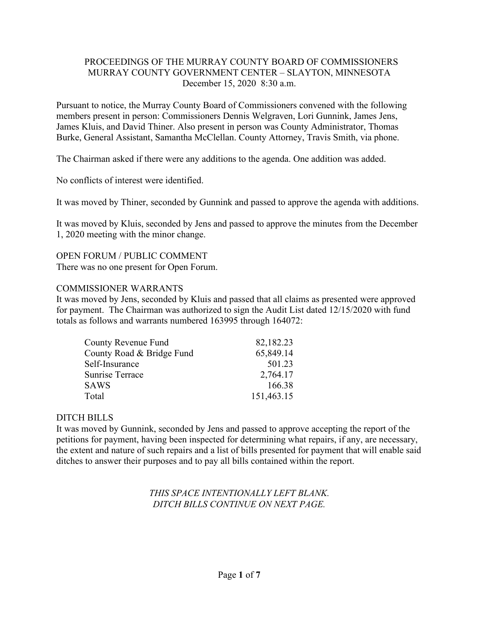## PROCEEDINGS OF THE MURRAY COUNTY BOARD OF COMMISSIONERS MURRAY COUNTY GOVERNMENT CENTER – SLAYTON, MINNESOTA December 15, 2020 8:30 a.m.

Pursuant to notice, the Murray County Board of Commissioners convened with the following members present in person: Commissioners Dennis Welgraven, Lori Gunnink, James Jens, James Kluis, and David Thiner. Also present in person was County Administrator, Thomas Burke, General Assistant, Samantha McClellan. County Attorney, Travis Smith, via phone.

The Chairman asked if there were any additions to the agenda. One addition was added.

No conflicts of interest were identified.

It was moved by Thiner, seconded by Gunnink and passed to approve the agenda with additions.

It was moved by Kluis, seconded by Jens and passed to approve the minutes from the December 1, 2020 meeting with the minor change.

OPEN FORUM / PUBLIC COMMENT There was no one present for Open Forum.

#### COMMISSIONER WARRANTS

It was moved by Jens, seconded by Kluis and passed that all claims as presented were approved for payment. The Chairman was authorized to sign the Audit List dated 12/15/2020 with fund totals as follows and warrants numbered 163995 through 164072:

| County Revenue Fund       | 82,182.23  |
|---------------------------|------------|
| County Road & Bridge Fund | 65,849.14  |
| Self-Insurance            | 501.23     |
| <b>Sunrise Terrace</b>    | 2,764.17   |
| <b>SAWS</b>               | 166.38     |
| Total                     | 151,463.15 |

## DITCH BILLS

It was moved by Gunnink, seconded by Jens and passed to approve accepting the report of the petitions for payment, having been inspected for determining what repairs, if any, are necessary, the extent and nature of such repairs and a list of bills presented for payment that will enable said ditches to answer their purposes and to pay all bills contained within the report.

## *THIS SPACE INTENTIONALLY LEFT BLANK. DITCH BILLS CONTINUE ON NEXT PAGE.*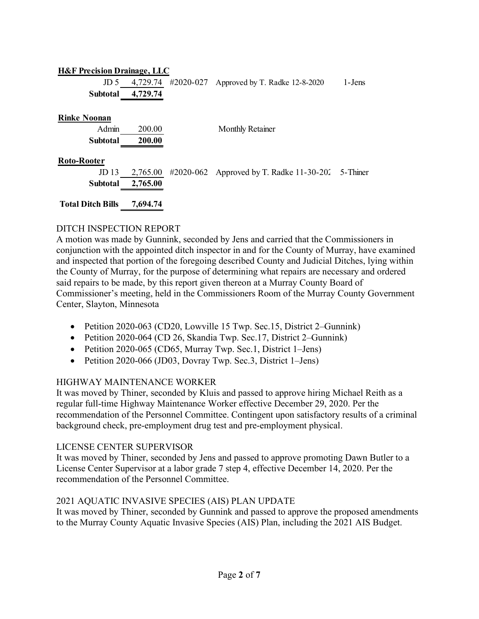## **H&F Precision Drainage, LLC**

|                   | JD 5 $4,729.74$ #2020-027 Approved by T. Radke 12-8-2020 | 1-Jens |
|-------------------|----------------------------------------------------------|--------|
| Subtotal 4,729.74 |                                                          |        |

**Rinke Noonan**

| Admin           | 200.00 | Monthly Retainer |
|-----------------|--------|------------------|
| Subtotal 200.00 |        |                  |
|                 |        |                  |

## **Roto-Rooter**

|                   | JD 13 2,765.00 #2020-062 Approved by T. Radke 11-30-202 5-Thiner |  |
|-------------------|------------------------------------------------------------------|--|
| Subtotal 2,765.00 |                                                                  |  |
|                   |                                                                  |  |

**Total Ditch Bills 7,694.74**

# DITCH INSPECTION REPORT

A motion was made by Gunnink, seconded by Jens and carried that the Commissioners in conjunction with the appointed ditch inspector in and for the County of Murray, have examined and inspected that portion of the foregoing described County and Judicial Ditches, lying within the County of Murray, for the purpose of determining what repairs are necessary and ordered said repairs to be made, by this report given thereon at a Murray County Board of Commissioner's meeting, held in the Commissioners Room of the Murray County Government Center, Slayton, Minnesota

- Petition 2020-063 (CD20, Lowville 15 Twp. Sec.15, District 2–Gunnink)
- Petition 2020-064 (CD 26, Skandia Twp. Sec.17, District 2–Gunnink)
- Petition 2020-065 (CD65, Murray Twp. Sec.1, District 1–Jens)
- Petition 2020-066 (JD03, Dovray Twp. Sec.3, District 1–Jens)

# HIGHWAY MAINTENANCE WORKER

It was moved by Thiner, seconded by Kluis and passed to approve hiring Michael Reith as a regular full-time Highway Maintenance Worker effective December 29, 2020. Per the recommendation of the Personnel Committee. Contingent upon satisfactory results of a criminal background check, pre-employment drug test and pre-employment physical.

# LICENSE CENTER SUPERVISOR

It was moved by Thiner, seconded by Jens and passed to approve promoting Dawn Butler to a License Center Supervisor at a labor grade 7 step 4, effective December 14, 2020. Per the recommendation of the Personnel Committee.

# 2021 AQUATIC INVASIVE SPECIES (AIS) PLAN UPDATE

It was moved by Thiner, seconded by Gunnink and passed to approve the proposed amendments to the Murray County Aquatic Invasive Species (AIS) Plan, including the 2021 AIS Budget.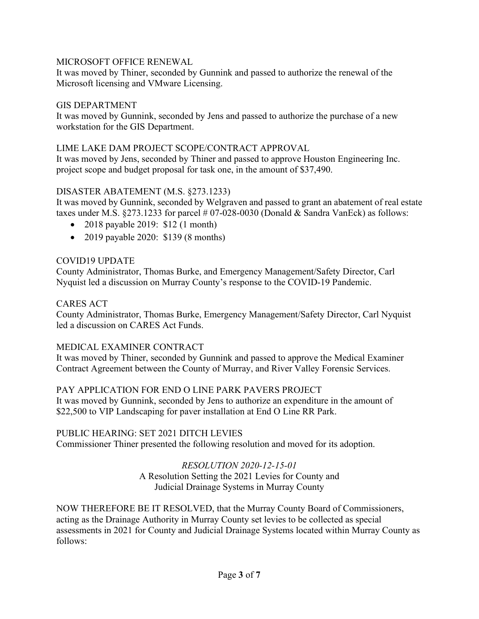## MICROSOFT OFFICE RENEWAL

It was moved by Thiner, seconded by Gunnink and passed to authorize the renewal of the Microsoft licensing and VMware Licensing.

#### GIS DEPARTMENT

It was moved by Gunnink, seconded by Jens and passed to authorize the purchase of a new workstation for the GIS Department.

#### LIME LAKE DAM PROJECT SCOPE/CONTRACT APPROVAL

It was moved by Jens, seconded by Thiner and passed to approve Houston Engineering Inc. project scope and budget proposal for task one, in the amount of \$37,490.

## DISASTER ABATEMENT (M.S. §273.1233)

It was moved by Gunnink, seconded by Welgraven and passed to grant an abatement of real estate taxes under M.S.  $\S 273.1233$  for parcel # 07-028-0030 (Donald & Sandra VanEck) as follows:

- 2018 payable 2019: \$12 (1 month)
- 2019 payable 2020: \$139 (8 months)

#### COVID19 UPDATE

County Administrator, Thomas Burke, and Emergency Management/Safety Director, Carl Nyquist led a discussion on Murray County's response to the COVID-19 Pandemic.

#### CARES ACT

County Administrator, Thomas Burke, Emergency Management/Safety Director, Carl Nyquist led a discussion on CARES Act Funds.

## MEDICAL EXAMINER CONTRACT

It was moved by Thiner, seconded by Gunnink and passed to approve the Medical Examiner Contract Agreement between the County of Murray, and River Valley Forensic Services.

## PAY APPLICATION FOR END O LINE PARK PAVERS PROJECT

It was moved by Gunnink, seconded by Jens to authorize an expenditure in the amount of \$22,500 to VIP Landscaping for paver installation at End O Line RR Park.

## PUBLIC HEARING: SET 2021 DITCH LEVIES

Commissioner Thiner presented the following resolution and moved for its adoption.

# *RESOLUTION 2020-12-15-01*

A Resolution Setting the 2021 Levies for County and Judicial Drainage Systems in Murray County

NOW THEREFORE BE IT RESOLVED, that the Murray County Board of Commissioners, acting as the Drainage Authority in Murray County set levies to be collected as special assessments in 2021 for County and Judicial Drainage Systems located within Murray County as follows: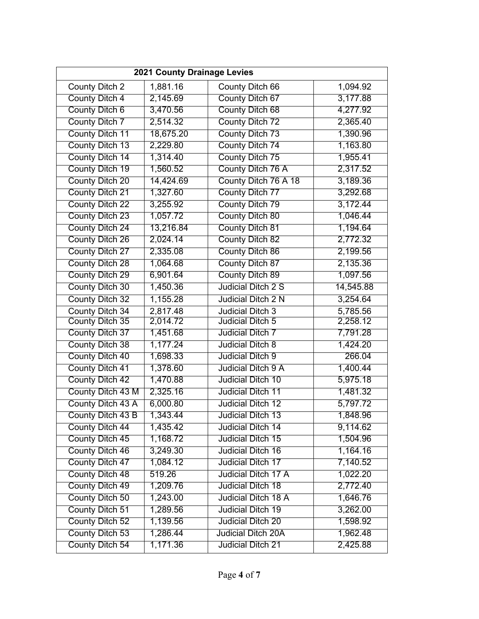| 2021 County Drainage Levies |           |                           |           |  |
|-----------------------------|-----------|---------------------------|-----------|--|
| County Ditch 2              | 1,881.16  | County Ditch 66           | 1,094.92  |  |
| <b>County Ditch 4</b>       | 2,145.69  | County Ditch 67           | 3,177.88  |  |
| County Ditch 6              | 3,470.56  | County Ditch 68           | 4,277.92  |  |
| <b>County Ditch 7</b>       | 2,514.32  | County Ditch 72           | 2,365.40  |  |
| County Ditch 11             | 18,675.20 | County Ditch 73           | 1,390.96  |  |
| County Ditch 13             | 2,229.80  | County Ditch 74           | 1,163.80  |  |
| County Ditch 14             | 1,314.40  | County Ditch 75           | 1,955.41  |  |
| County Ditch 19             | 1,560.52  | County Ditch 76 A         | 2,317.52  |  |
| <b>County Ditch 20</b>      | 14,424.69 | County Ditch 76 A 18      | 3,189.36  |  |
| County Ditch 21             | 1,327.60  | County Ditch 77           | 3,292.68  |  |
| <b>County Ditch 22</b>      | 3,255.92  | County Ditch 79           | 3,172.44  |  |
| <b>County Ditch 23</b>      | 1,057.72  | <b>County Ditch 80</b>    | 1,046.44  |  |
| County Ditch 24             | 13,216.84 | <b>County Ditch 81</b>    | 1,194.64  |  |
| <b>County Ditch 26</b>      | 2,024.14  | County Ditch 82           | 2,772.32  |  |
| County Ditch 27             | 2,335.08  | County Ditch 86           | 2,199.56  |  |
| <b>County Ditch 28</b>      | 1,064.68  | County Ditch 87           | 2,135.36  |  |
| County Ditch 29             | 6,901.64  | County Ditch 89           | 1,097.56  |  |
| <b>County Ditch 30</b>      | 1,450.36  | Judicial Ditch 2 S        | 14,545.88 |  |
| County Ditch 32             | 1,155.28  | <b>Judicial Ditch 2 N</b> | 3,254.64  |  |
| County Ditch 34             | 2,817.48  | Judicial Ditch 3          | 5,785.56  |  |
| County Ditch 35             | 2,014.72  | <b>Judicial Ditch 5</b>   | 2,258.12  |  |
| County Ditch 37             | 1,451.68  | Judicial Ditch 7          | 7,791.28  |  |
| <b>County Ditch 38</b>      | 1,177.24  | Judicial Ditch 8          | 1,424.20  |  |
| County Ditch 40             | 1,698.33  | Judicial Ditch 9          | 266.04    |  |
| County Ditch 41             | 1,378.60  | Judicial Ditch 9 A        | 1,400.44  |  |
| <b>County Ditch 42</b>      | 1,470.88  | <b>Judicial Ditch 10</b>  | 5,975.18  |  |
| County Ditch 43 M           | 2,325.16  | <b>Judicial Ditch 11</b>  | 1,481.32  |  |
| County Ditch 43 A           | 6,000.80  | Judicial Ditch 12         | 5,797.72  |  |
| County Ditch 43 B           | 1,343.44  | Judicial Ditch 13         | 1,848.96  |  |
| <b>County Ditch 44</b>      | 1,435.42  | <b>Judicial Ditch 14</b>  | 9,114.62  |  |
| County Ditch 45             | 1,168.72  | <b>Judicial Ditch 15</b>  | 1,504.96  |  |
| <b>County Ditch 46</b>      | 3,249.30  | <b>Judicial Ditch 16</b>  | 1,164.16  |  |
| County Ditch 47             | 1,084.12  | Judicial Ditch 17         | 7,140.52  |  |
| County Ditch 48             | 519.26    | Judicial Ditch 17 A       | 1,022.20  |  |
| County Ditch 49             | 1,209.76  | <b>Judicial Ditch 18</b>  | 2,772.40  |  |
| County Ditch 50             | 1,243.00  | Judicial Ditch 18 A       | 1,646.76  |  |
| County Ditch 51             | 1,289.56  | <b>Judicial Ditch 19</b>  | 3,262.00  |  |
| County Ditch 52             | 1,139.56  | <b>Judicial Ditch 20</b>  | 1,598.92  |  |
| County Ditch 53             | 1,286.44  | <b>Judicial Ditch 20A</b> | 1,962.48  |  |
| County Ditch 54             | 1,171.36  | Judicial Ditch 21         | 2,425.88  |  |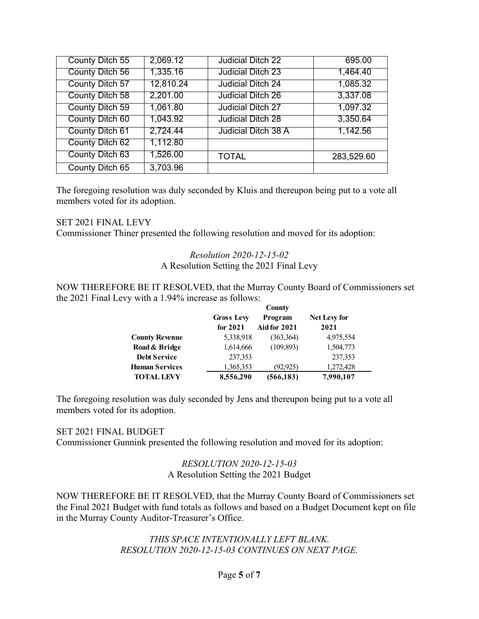| County Ditch 55 | 2,069.12  | Judicial Ditch 22        | 695.00     |
|-----------------|-----------|--------------------------|------------|
| County Ditch 56 | 1,335.16  | <b>Judicial Ditch 23</b> | 1,464.40   |
| County Ditch 57 | 12,810.24 | Judicial Ditch 24        | 1,085.32   |
| County Ditch 58 | 2,201.00  | Judicial Ditch 26        | 3,337.08   |
| County Ditch 59 | 1,061.80  | <b>Judicial Ditch 27</b> | 1,097.32   |
| County Ditch 60 | 1,043.92  | <b>Judicial Ditch 28</b> | 3,350.64   |
| County Ditch 61 | 2,724.44  | Judicial Ditch 38 A      | 1,142.56   |
| County Ditch 62 | 1,112.80  |                          |            |
| County Ditch 63 | 1,526.00  | <b>TOTAL</b>             | 283,529.60 |
| County Ditch 65 | 3,703.96  |                          |            |

The foregoing resolution was duly seconded by Kluis and thereupon being put to a vote all members voted for its adoption.

#### SET 2021 FINAL LEVY

Commissioner Thiner presented the following resolution and moved for its adoption:

*Resolution 2020-12-15-02* A Resolution Setting the 2021 Final Levy

NOW THEREFORE BE IT RESOLVED, that the Murray County Board of Commissioners set the 2021 Final Levy with a 1.94% increase as follows:

|                       | County            |                     |                     |  |
|-----------------------|-------------------|---------------------|---------------------|--|
|                       | <b>Gross Levy</b> | Program             | <b>Net Levy for</b> |  |
|                       | for $2021$        | <b>Aid for 2021</b> | 2021                |  |
| <b>County Revenue</b> | 5,338,918         | (363,364)           | 4,975,554           |  |
| Road & Bridge         | 1,614,666         | (109, 893)          | 1,504,773           |  |
| <b>Debt Service</b>   | 237,353           |                     | 237,353             |  |
| <b>Human Services</b> | 1,365,353         | (92, 925)           | 1,272,428           |  |
| <b>TOTAL LEVY</b>     | 8,556,290         | (566, 183)          | 7,990,107           |  |

The foregoing resolution was duly seconded by Jens and thereupon being put to a vote all members voted for its adoption.

#### SET 2021 FINAL BUDGET

Commissioner Gunnink presented the following resolution and moved for its adoption:

#### *RESOLUTION 2020-12-15-03* A Resolution Setting the 2021 Budget

NOW THEREFORE BE IT RESOLVED, that the Murray County Board of Commissioners set the Final 2021 Budget with fund totals as follows and based on a Budget Document kept on file in the Murray County Auditor-Treasurer's Office.

## *THIS SPACE INTENTIONALLY LEFT BLANK. RESOLUTION 2020-12-15-03 CONTINUES ON NEXT PAGE.*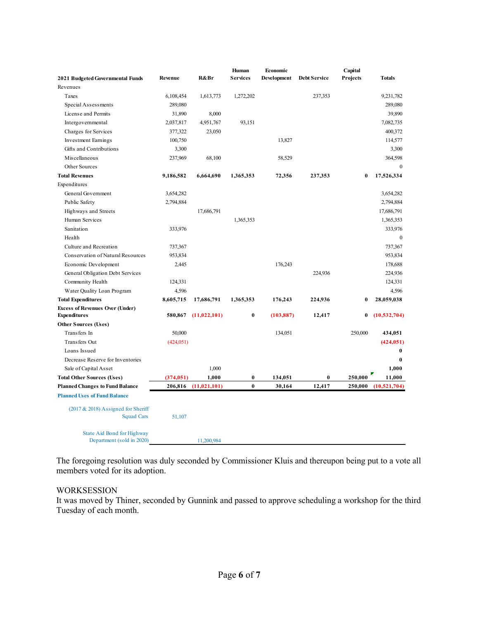|                                                                |            |                | Human     | Economic    |                     | Capital  |                |
|----------------------------------------------------------------|------------|----------------|-----------|-------------|---------------------|----------|----------------|
| 2021 Budgeted Governmental Funds                               | Revenue    | R&Br           | Services  | Development | <b>Debt Service</b> | Projects | <b>Totals</b>  |
| Revenues                                                       |            |                |           |             |                     |          |                |
| Taxes                                                          | 6,108,454  | 1,613,773      | 1,272,202 |             | 237,353             |          | 9,231,782      |
| Special Assessments                                            | 289,080    |                |           |             |                     |          | 289,080        |
| License and Permits                                            | 31,890     | 8,000          |           |             |                     |          | 39,890         |
| Intergovernmental                                              | 2,037,817  | 4,951,767      | 93,151    |             |                     |          | 7,082,735      |
| Charges for Services                                           | 377,322    | 23,050         |           |             |                     |          | 400,372        |
| <b>Investment Earnings</b>                                     | 100,750    |                |           | 13,827      |                     |          | 114,577        |
| Gifts and Contributions                                        | 3,300      |                |           |             |                     |          | 3,300          |
| Miscellaneous                                                  | 237,969    | 68,100         |           | 58,529      |                     |          | 364,598        |
| Other Sources                                                  |            |                |           |             |                     |          | $\mathbf{0}$   |
| <b>Total Revenues</b>                                          | 9,186,582  | 6,664,690      | 1,365,353 | 72,356      | 237,353             | 0        | 17,526,334     |
| Expenditures                                                   |            |                |           |             |                     |          |                |
| General Government                                             | 3,654,282  |                |           |             |                     |          | 3,654,282      |
| Public Safety                                                  | 2,794,884  |                |           |             |                     |          | 2,794,884      |
| Highways and Streets                                           |            | 17,686,791     |           |             |                     |          | 17,686,791     |
| Human Services                                                 |            |                | 1,365,353 |             |                     |          | 1,365,353      |
| Sanitation                                                     | 333,976    |                |           |             |                     |          | 333,976        |
| Health                                                         |            |                |           |             |                     |          | $\mathbf{0}$   |
| Culture and Recreation                                         | 737,367    |                |           |             |                     |          | 737,367        |
| Conservation of Natural Resources                              | 953,834    |                |           |             |                     |          | 953,834        |
| Economic Development                                           | 2,445      |                |           | 176,243     |                     |          | 178,688        |
| General Obligation Debt Services                               |            |                |           |             | 224,936             |          | 224,936        |
| Community Health                                               | 124,331    |                |           |             |                     |          | 124,331        |
| Water Quality Loan Program                                     | 4,596      |                |           |             |                     |          | 4,596          |
| <b>Total Expenditures</b>                                      | 8,605,715  | 17,686,791     | 1,365,353 | 176,243     | 224,936             | $\bf{0}$ | 28,059,038     |
| <b>Excess of Revenues Over (Under)</b>                         |            |                |           |             |                     |          |                |
| <b>Expenditures</b>                                            | 580,867    | (11, 022, 101) | 0         | (103, 887)  | 12,417              | 0        | (10, 532, 704) |
| <b>Other Sources (Uses)</b>                                    |            |                |           |             |                     |          |                |
| Transfers In                                                   | 50,000     |                |           | 134,051     |                     | 250,000  | 434,051        |
| Transfers Out                                                  | (424, 051) |                |           |             |                     |          | (424, 051)     |
| Loans Issued                                                   |            |                |           |             |                     |          | $\bf{0}$       |
| Decrease Reserve for Inventories                               |            |                |           |             |                     |          | $\bf{0}$       |
| Sale of Capital Asset                                          |            | 1,000          |           |             |                     |          | 1.000          |
| <b>Total Other Sources (Uses)</b>                              | (374, 051) | 1.000          | 0         | 134,051     | $\bf{0}$            | 250,000  | 11,000         |
| <b>Planned Changes to Fund Balance</b>                         | 206,816    | (11, 021, 101) | $\bf{0}$  | 30.164      | 12,417              | 250,000  | (10,521,704)   |
| <b>Planned Uses of Fund Balance</b>                            |            |                |           |             |                     |          |                |
| $(2017 & 2018)$ Assigned for Sheriff<br><b>Squad Cars</b>      | 51,107     |                |           |             |                     |          |                |
| <b>State Aid Bond for Highway</b><br>Department (sold in 2020) |            | 11.200.984     |           |             |                     |          |                |

The foregoing resolution was duly seconded by Commissioner Kluis and thereupon being put to a vote all members voted for its adoption.

#### WORKSESSION

It was moved by Thiner, seconded by Gunnink and passed to approve scheduling a workshop for the third Tuesday of each month.